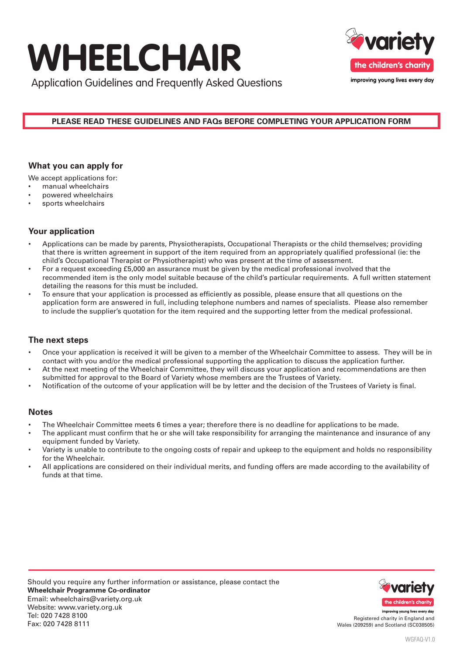# **WHEELCHAIR**



Application Guidelines and Frequently Asked Questions

## **PLEASE READ THESE GUIDELINES AND FAQs BEFORE COMPLETING YOUR APPLICATION FORM**

# **What you can apply for**

We accept applications for:

- manual wheelchairs
- powered wheelchairs
- sports wheelchairs

# **Your application**

- Applications can be made by parents, Physiotherapists, Occupational Therapists or the child themselves; providing that there is written agreement in support of the item required from an appropriately qualified professional (ie: the child's Occupational Therapist or Physiotherapist) who was present at the time of assessment.
- For a request exceeding £5,000 an assurance must be given by the medical professional involved that the recommended item is the only model suitable because of the child's particular requirements. A full written statement detailing the reasons for this must be included.
- To ensure that your application is processed as efficiently as possible, please ensure that all questions on the application form are answered in full, including telephone numbers and names of specialists. Please also remember to include the supplier's quotation for the item required and the supporting letter from the medical professional.

## **The next steps**

- Once your application is received it will be given to a member of the Wheelchair Committee to assess. They will be in contact with you and/or the medical professional supporting the application to discuss the application further.
- At the next meeting of the Wheelchair Committee, they will discuss your application and recommendations are then submitted for approval to the Board of Variety whose members are the Trustees of Variety.
- Notification of the outcome of your application will be by letter and the decision of the Trustees of Variety is final.

#### **Notes**

- The Wheelchair Committee meets 6 times a year; therefore there is no deadline for applications to be made.
- The applicant must confirm that he or she will take responsibility for arranging the maintenance and insurance of any equipment funded by Variety.
- Variety is unable to contribute to the ongoing costs of repair and upkeep to the equipment and holds no responsibility for the Wheelchair.
- All applications are considered on their individual merits, and funding offers are made according to the availability of funds at that time.



Registered charity in England and Wales (209259) and Scotland (SC038505)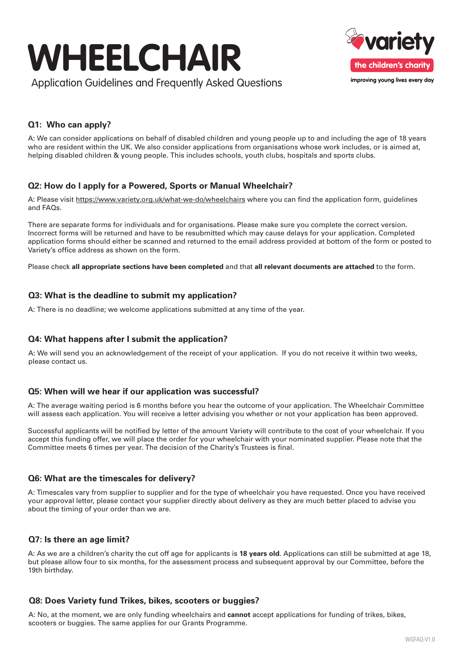



# **Q1: Who can apply?**

A: We can consider applications on behalf of disabled children and young people up to and including the age of 18 years who are resident within the UK. We also consider applications from organisations whose work includes, or is aimed at, helping disabled children & young people. This includes schools, youth clubs, hospitals and sports clubs.

## **Q2: How do I apply for a Powered, Sports or Manual Wheelchair?**

A: Please visit https://www.variety.org.uk/what-we-do/wheelchairs where you can find the application form, guidelines and FAQs.

There are separate forms for individuals and for organisations. Please make sure you complete the correct version. Incorrect forms will be returned and have to be resubmitted which may cause delays for your application. Completed application forms should either be scanned and returned to the email address provided at bottom of the form or posted to Variety's office address as shown on the form.

Please check **all appropriate sections have been completed** and that **all relevant documents are attached** to the form.

#### **Q3: What is the deadline to submit my application?**

A: There is no deadline; we welcome applications submitted at any time of the year.

## **Q4: What happens after I submit the application?**

A: We will send you an acknowledgement of the receipt of your application. If you do not receive it within two weeks, please contact us.

#### **Q5: When will we hear if our application was successful?**

A: The average waiting period is 6 months before you hear the outcome of your application. The Wheelchair Committee will assess each application. You will receive a letter advising you whether or not your application has been approved.

Successful applicants will be notified by letter of the amount Variety will contribute to the cost of your wheelchair. If you accept this funding offer, we will place the order for your wheelchair with your nominated supplier. Please note that the Committee meets 6 times per year. The decision of the Charity's Trustees is final.

#### **Q6: What are the timescales for delivery?**

A: Timescales vary from supplier to supplier and for the type of wheelchair you have requested. Once you have received your approval letter, please contact your supplier directly about delivery as they are much better placed to advise you about the timing of your order than we are.

#### **Q7: Is there an age limit?**

A: As we are a children's charity the cut off age for applicants is **18 years old**. Applications can still be submitted at age 18, but please allow four to six months, for the assessment process and subsequent approval by our Committee, before the 19th birthday.

#### **Q8: Does Variety fund Trikes, bikes, scooters or buggies?**

A: No, at the moment, we are only funding wheelchairs and **cannot** accept applications for funding of trikes, bikes, scooters or buggies. The same applies for our Grants Programme.